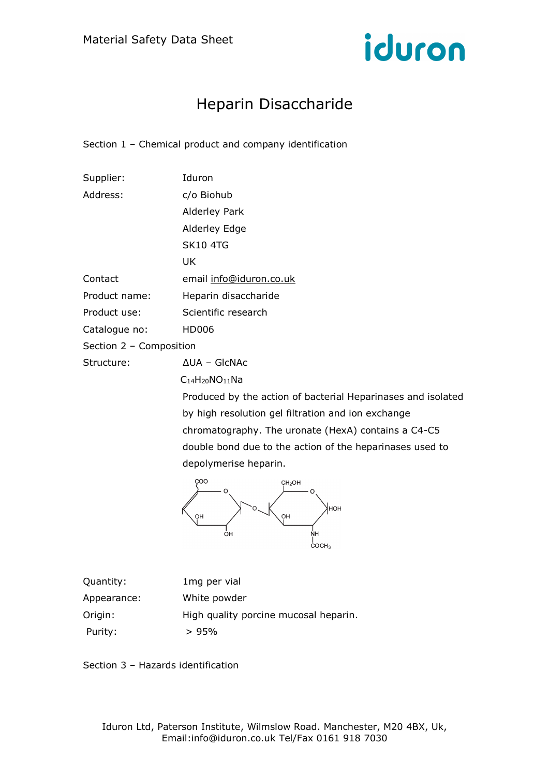

# Heparin Disaccharide

Section 1 – Chemical product and company identification

| Supplier:               | Iduron                                                       |
|-------------------------|--------------------------------------------------------------|
| Address:                | c/o Biohub                                                   |
|                         | Alderley Park                                                |
|                         | Alderley Edge                                                |
|                         | <b>SK10 4TG</b>                                              |
|                         | UK                                                           |
| Contact                 | email info@iduron.co.uk                                      |
| Product name:           | Heparin disaccharide                                         |
| Product use:            | Scientific research                                          |
| Catalogue no:           | HD006                                                        |
| Section 2 - Composition |                                                              |
| Structure:              | $\Delta$ UA - GICNAC                                         |
|                         | $C_{14}H_{20}NO_{11}Na$                                      |
|                         | Produced by the action of bacterial Heparinases and isolated |
|                         | by high resolution gel filtration and ion exchange           |
|                         | chromatography. The uronate (HexA) contains a C4-C5          |

double bond due to the action of the heparinases used to depolymerise heparin.



| Quantity:   | 1mg per vial                          |
|-------------|---------------------------------------|
| Appearance: | White powder                          |
| Origin:     | High quality porcine mucosal heparin. |
| Purity:     | >95%                                  |

Section 3 – Hazards identification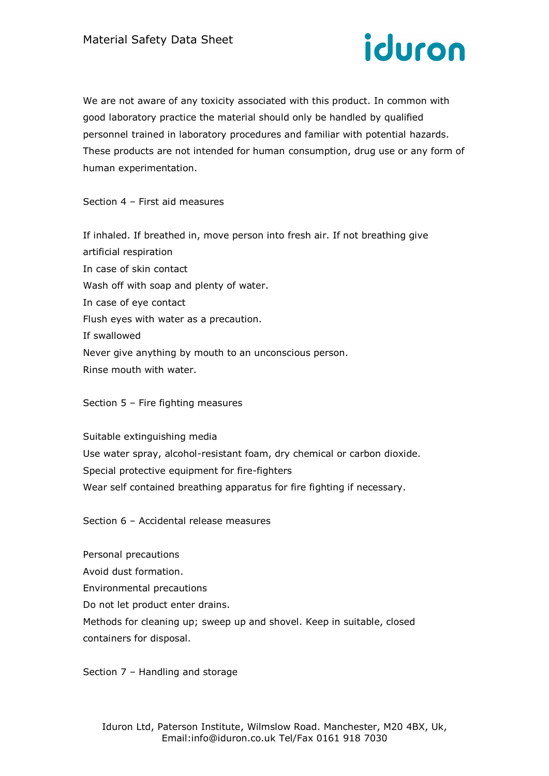

We are not aware of any toxicity associated with this product. In common with good laboratory practice the material should only be handled by qualified personnel trained in laboratory procedures and familiar with potential hazards. These products are not intended for human consumption, drug use or any form of human experimentation.

Section 4 – First aid measures

If inhaled. If breathed in, move person into fresh air. If not breathing give artificial respiration In case of skin contact Wash off with soap and plenty of water. In case of eye contact Flush eyes with water as a precaution. If swallowed Never give anything by mouth to an unconscious person. Rinse mouth with water.

## Section 5 – Fire fighting measures

Suitable extinguishing media Use water spray, alcohol-resistant foam, dry chemical or carbon dioxide. Special protective equipment for fire-fighters Wear self contained breathing apparatus for fire fighting if necessary.

Section 6 – Accidental release measures

Personal precautions Avoid dust formation. Environmental precautions Do not let product enter drains. Methods for cleaning up; sweep up and shovel. Keep in suitable, closed containers for disposal.

Section 7 – Handling and storage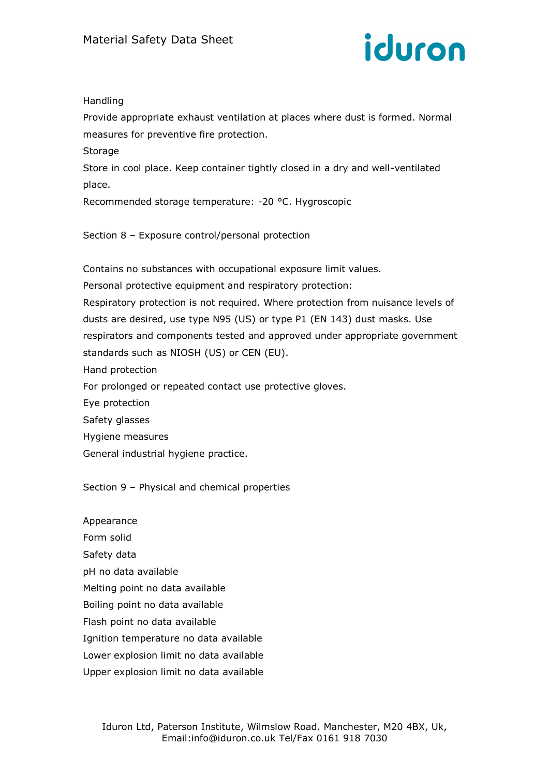

# Handling

Provide appropriate exhaust ventilation at places where dust is formed. Normal measures for preventive fire protection.

Storage

Store in cool place. Keep container tightly closed in a dry and well-ventilated place.

Recommended storage temperature: -20 °C. Hygroscopic

Section 8 – Exposure control/personal protection

Contains no substances with occupational exposure limit values. Personal protective equipment and respiratory protection: Respiratory protection is not required. Where protection from nuisance levels of dusts are desired, use type N95 (US) or type P1 (EN 143) dust masks. Use respirators and components tested and approved under appropriate government standards such as NIOSH (US) or CEN (EU). Hand protection For prolonged or repeated contact use protective gloves. Eye protection Safety glasses Hygiene measures

General industrial hygiene practice.

Section 9 – Physical and chemical properties

Appearance Form solid Safety data pH no data available Melting point no data available Boiling point no data available Flash point no data available Ignition temperature no data available Lower explosion limit no data available Upper explosion limit no data available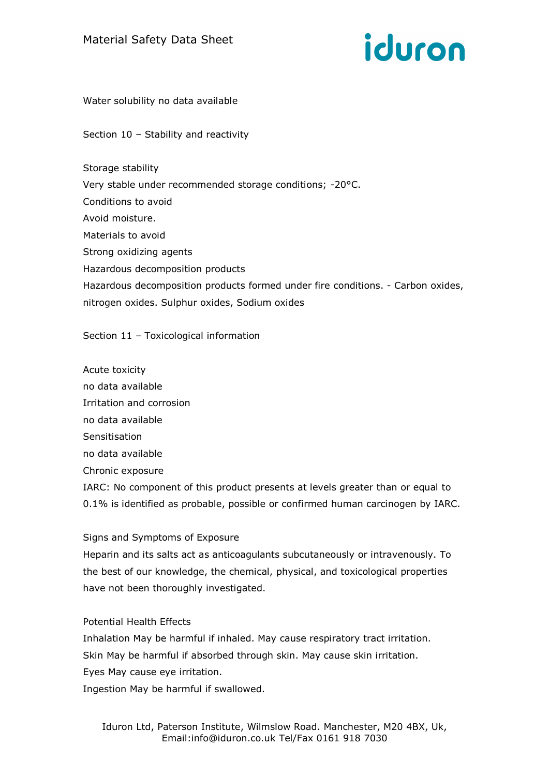

Water solubility no data available

Section 10 – Stability and reactivity

Storage stability Very stable under recommended storage conditions; -20°C. Conditions to avoid Avoid moisture. Materials to avoid Strong oxidizing agents Hazardous decomposition products Hazardous decomposition products formed under fire conditions. - Carbon oxides, nitrogen oxides. Sulphur oxides, Sodium oxides

#### Section 11 – Toxicological information

Acute toxicity no data available Irritation and corrosion no data available Sensitisation no data available Chronic exposure IARC: No component of this product presents at levels greater than or equal to 0.1% is identified as probable, possible or confirmed human carcinogen by IARC.

#### Signs and Symptoms of Exposure

Heparin and its salts act as anticoagulants subcutaneously or intravenously. To the best of our knowledge, the chemical, physical, and toxicological properties have not been thoroughly investigated.

## Potential Health Effects

Inhalation May be harmful if inhaled. May cause respiratory tract irritation. Skin May be harmful if absorbed through skin. May cause skin irritation. Eyes May cause eye irritation. Ingestion May be harmful if swallowed.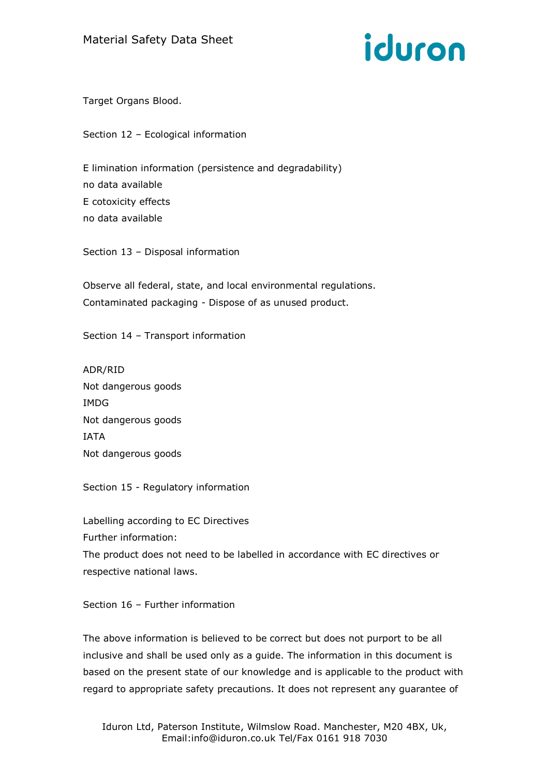

Target Organs Blood.

Section 12 – Ecological information

E limination information (persistence and degradability) no data available E cotoxicity effects no data available

Section 13 – Disposal information

Observe all federal, state, and local environmental regulations. Contaminated packaging - Dispose of as unused product.

Section 14 – Transport information

ADR/RID Not dangerous goods IMDG Not dangerous goods IATA Not dangerous goods

Section 15 - Regulatory information

Labelling according to EC Directives Further information:

The product does not need to be labelled in accordance with EC directives or respective national laws.

Section 16 – Further information

The above information is believed to be correct but does not purport to be all inclusive and shall be used only as a guide. The information in this document is based on the present state of our knowledge and is applicable to the product with regard to appropriate safety precautions. It does not represent any guarantee of